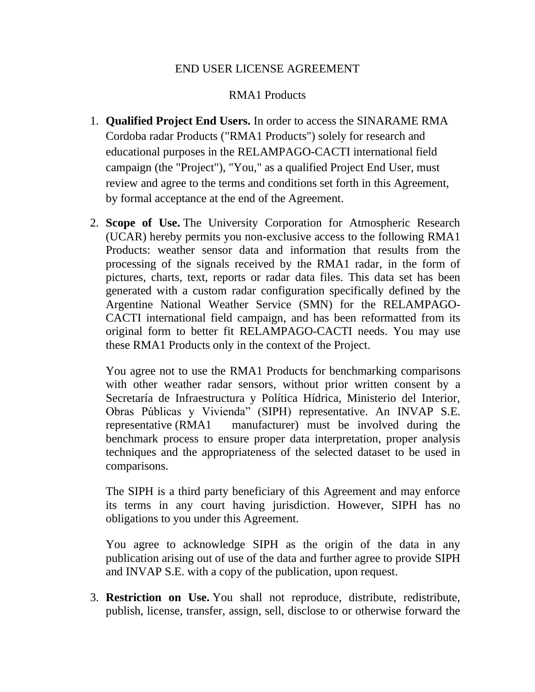## END USER LICENSE AGREEMENT

## RMA1 Products

- 1. **Qualified Project End Users.** In order to access the SINARAME RMA Cordoba radar Products ("RMA1 Products") solely for research and educational purposes in the RELAMPAGO-CACTI international field campaign (the "Project"), "You," as a qualified Project End User, must review and agree to the terms and conditions set forth in this Agreement, by formal acceptance at the end of the Agreement.
- 2. **Scope of Use.** The University Corporation for Atmospheric Research (UCAR) hereby permits you non-exclusive access to the following RMA1 Products: weather sensor data and information that results from the processing of the signals received by the RMA1 radar, in the form of pictures, charts, text, reports or radar data files. This data set has been generated with a custom radar configuration specifically defined by the Argentine National Weather Service (SMN) for the RELAMPAGO-CACTI international field campaign, and has been reformatted from its original form to better fit RELAMPAGO-CACTI needs. You may use these RMA1 Products only in the context of the Project.

You agree not to use the RMA1 Products for benchmarking comparisons with other weather radar sensors, without prior written consent by a Secretaría de Infraestructura y Política Hídrica, Ministerio del Interior, Obras Públicas y Vivienda" (SIPH) representative. An INVAP S.E. representative (RMA1 manufacturer) must be involved during the benchmark process to ensure proper data interpretation, proper analysis techniques and the appropriateness of the selected dataset to be used in comparisons.

The SIPH is a third party beneficiary of this Agreement and may enforce its terms in any court having jurisdiction. However, SIPH has no obligations to you under this Agreement.

You agree to acknowledge SIPH as the origin of the data in any publication arising out of use of the data and further agree to provide SIPH and INVAP S.E. with a copy of the publication, upon request.

3. **Restriction on Use.** You shall not reproduce, distribute, redistribute, publish, license, transfer, assign, sell, disclose to or otherwise forward the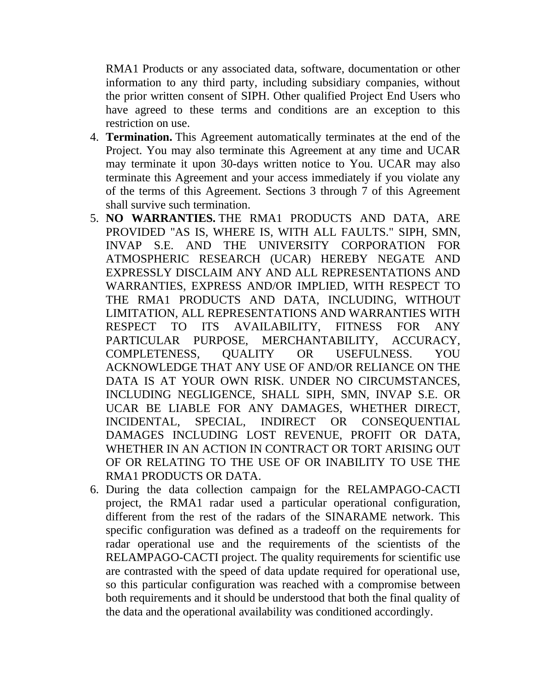RMA1 Products or any associated data, software, documentation or other information to any third party, including subsidiary companies, without the prior written consent of SIPH. Other qualified Project End Users who have agreed to these terms and conditions are an exception to this restriction on use.

- 4. **Termination.** This Agreement automatically terminates at the end of the Project. You may also terminate this Agreement at any time and UCAR may terminate it upon 30-days written notice to You. UCAR may also terminate this Agreement and your access immediately if you violate any of the terms of this Agreement. Sections 3 through 7 of this Agreement shall survive such termination.
- 5. **NO WARRANTIES.** THE RMA1 PRODUCTS AND DATA, ARE PROVIDED "AS IS, WHERE IS, WITH ALL FAULTS." SIPH, SMN, INVAP S.E. AND THE UNIVERSITY CORPORATION FOR ATMOSPHERIC RESEARCH (UCAR) HEREBY NEGATE AND EXPRESSLY DISCLAIM ANY AND ALL REPRESENTATIONS AND WARRANTIES, EXPRESS AND/OR IMPLIED, WITH RESPECT TO THE RMA1 PRODUCTS AND DATA, INCLUDING, WITHOUT LIMITATION, ALL REPRESENTATIONS AND WARRANTIES WITH RESPECT TO ITS AVAILABILITY, FITNESS FOR ANY PARTICULAR PURPOSE, MERCHANTABILITY, ACCURACY, COMPLETENESS, QUALITY OR USEFULNESS. YOU ACKNOWLEDGE THAT ANY USE OF AND/OR RELIANCE ON THE DATA IS AT YOUR OWN RISK. UNDER NO CIRCUMSTANCES, INCLUDING NEGLIGENCE, SHALL SIPH, SMN, INVAP S.E. OR UCAR BE LIABLE FOR ANY DAMAGES, WHETHER DIRECT, INCIDENTAL, SPECIAL, INDIRECT OR CONSEQUENTIAL DAMAGES INCLUDING LOST REVENUE, PROFIT OR DATA, WHETHER IN AN ACTION IN CONTRACT OR TORT ARISING OUT OF OR RELATING TO THE USE OF OR INABILITY TO USE THE RMA1 PRODUCTS OR DATA.
- 6. During the data collection campaign for the RELAMPAGO-CACTI project, the RMA1 radar used a particular operational configuration, different from the rest of the radars of the SINARAME network. This specific configuration was defined as a tradeoff on the requirements for radar operational use and the requirements of the scientists of the RELAMPAGO-CACTI project. The quality requirements for scientific use are contrasted with the speed of data update required for operational use, so this particular configuration was reached with a compromise between both requirements and it should be understood that both the final quality of the data and the operational availability was conditioned accordingly.